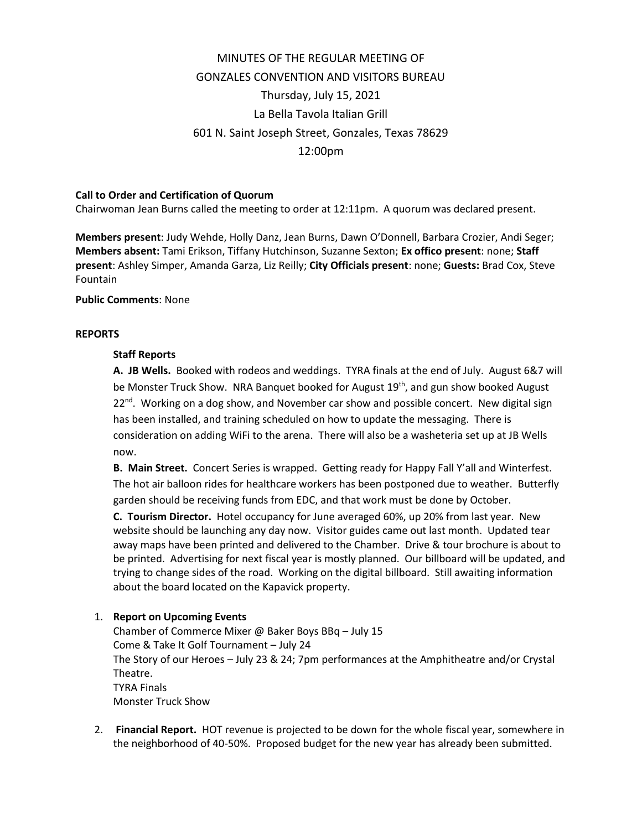# MINUTES OF THE REGULAR MEETING OF GONZALES CONVENTION AND VISITORS BUREAU Thursday, July 15, 2021 La Bella Tavola Italian Grill 601 N. Saint Joseph Street, Gonzales, Texas 78629 12:00pm

### **Call to Order and Certification of Quorum**

Chairwoman Jean Burns called the meeting to order at 12:11pm. A quorum was declared present.

**Members present**: Judy Wehde, Holly Danz, Jean Burns, Dawn O'Donnell, Barbara Crozier, Andi Seger; **Members absent:** Tami Erikson, Tiffany Hutchinson, Suzanne Sexton; **Ex offico present**: none; **Staff present**: Ashley Simper, Amanda Garza, Liz Reilly; **City Officials present**: none; **Guests:** Brad Cox, Steve Fountain

### **Public Comments**: None

### **REPORTS**

### **Staff Reports**

**A. JB Wells.** Booked with rodeos and weddings. TYRA finals at the end of July. August 6&7 will be Monster Truck Show. NRA Banquet booked for August 19<sup>th</sup>, and gun show booked August 22<sup>nd</sup>. Working on a dog show, and November car show and possible concert. New digital sign has been installed, and training scheduled on how to update the messaging. There is consideration on adding WiFi to the arena. There will also be a washeteria set up at JB Wells now.

**B. Main Street.** Concert Series is wrapped. Getting ready for Happy Fall Y'all and Winterfest. The hot air balloon rides for healthcare workers has been postponed due to weather. Butterfly garden should be receiving funds from EDC, and that work must be done by October.

**C. Tourism Director.** Hotel occupancy for June averaged 60%, up 20% from last year. New website should be launching any day now. Visitor guides came out last month. Updated tear away maps have been printed and delivered to the Chamber. Drive & tour brochure is about to be printed. Advertising for next fiscal year is mostly planned. Our billboard will be updated, and trying to change sides of the road. Working on the digital billboard. Still awaiting information about the board located on the Kapavick property.

## 1. **Report on Upcoming Events**

Chamber of Commerce Mixer @ Baker Boys BBq – July 15 Come & Take It Golf Tournament – July 24 The Story of our Heroes – July 23 & 24; 7pm performances at the Amphitheatre and/or Crystal Theatre. TYRA Finals Monster Truck Show

2. **Financial Report.** HOT revenue is projected to be down for the whole fiscal year, somewhere in the neighborhood of 40-50%. Proposed budget for the new year has already been submitted.